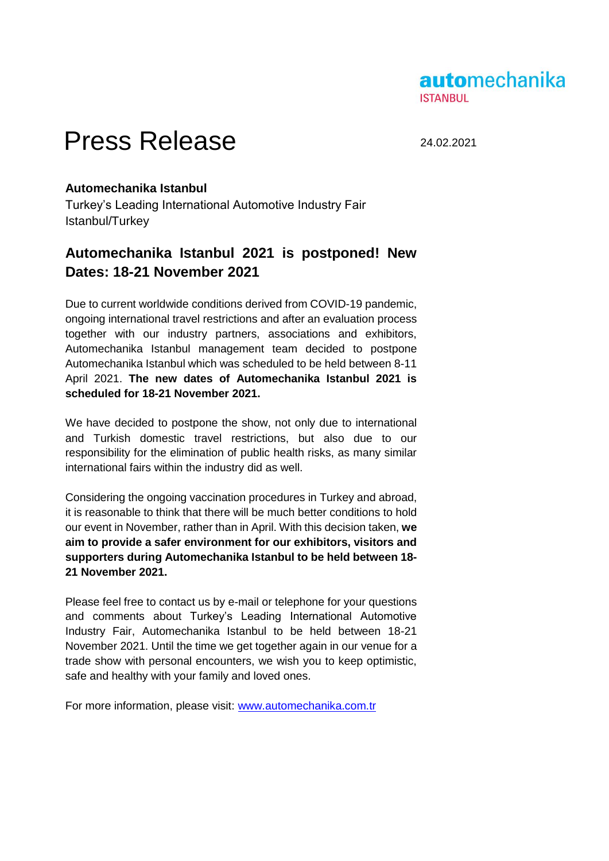

## Press Release 24.02.2021

## **Automechanika Istanbul**

Turkey's Leading International Automotive Industry Fair Istanbul/Turkey

## **Automechanika Istanbul 2021 is postponed! New Dates: 18-21 November 2021**

Due to current worldwide conditions derived from COVID-19 pandemic, ongoing international travel restrictions and after an evaluation process together with our industry partners, associations and exhibitors, Automechanika Istanbul management team decided to postpone Automechanika Istanbul which was scheduled to be held between 8-11 April 2021. **The new dates of Automechanika Istanbul 2021 is scheduled for 18-21 November 2021.**

We have decided to postpone the show, not only due to international and Turkish domestic travel restrictions, but also due to our responsibility for the elimination of public health risks, as many similar international fairs within the industry did as well.

Considering the ongoing vaccination procedures in Turkey and abroad, it is reasonable to think that there will be much better conditions to hold our event in November, rather than in April. With this decision taken, **we aim to provide a safer environment for our exhibitors, visitors and supporters during Automechanika Istanbul to be held between 18- 21 November 2021.**

Please feel free to contact us by e-mail or telephone for your questions and comments about Turkey's Leading International Automotive Industry Fair, Automechanika Istanbul to be held between 18-21 November 2021. Until the time we get together again in our venue for a trade show with personal encounters, we wish you to keep optimistic, safe and healthy with your family and loved ones.

For more information, please visit: [www.automechanika.com.tr](http://www.automechanika.com.tr/)